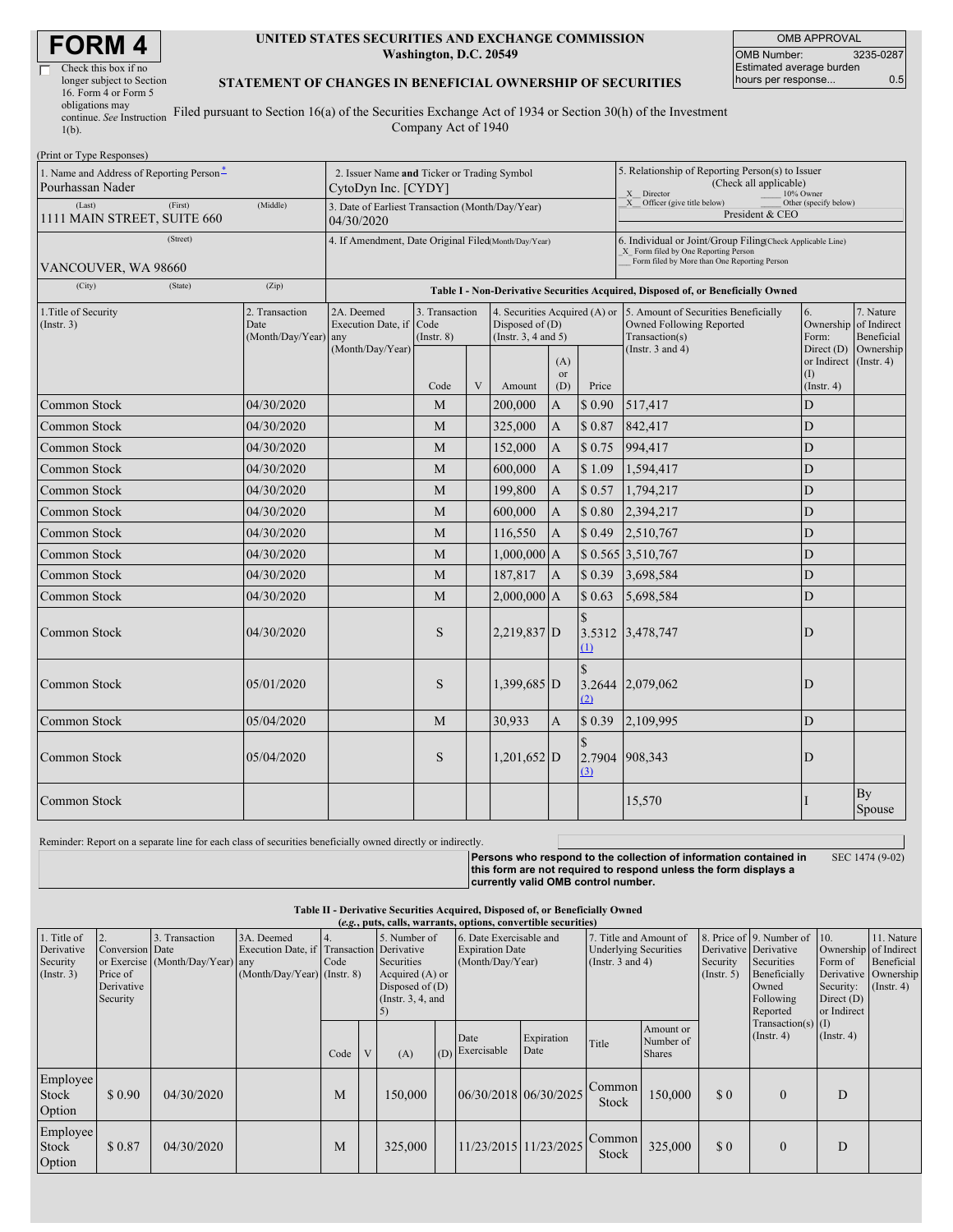| <b>FORM4</b> |  |
|--------------|--|
|--------------|--|

| Check this box if no      |  |
|---------------------------|--|
| longer subject to Section |  |
| 16. Form 4 or Form 5      |  |
| obligations may           |  |
| continue. See Instruction |  |
| $1(b)$ .                  |  |

#### **UNITED STATES SECURITIES AND EXCHANGE COMMISSION Washington, D.C. 20549**

OMB APPROVAL OMB Number: 3235-0287 Estimated average burden hours per response... 0.5

#### **STATEMENT OF CHANGES IN BENEFICIAL OWNERSHIP OF SECURITIES**

Filed pursuant to Section 16(a) of the Securities Exchange Act of 1934 or Section 30(h) of the Investment Company Act of 1940

| (Print or Type Responses)<br>1. Name and Address of Reporting Person <sup>*</sup><br>Pourhassan Nader |                                                      | 2. Issuer Name and Ticker or Trading Symbol<br>CytoDyn Inc. [CYDY]                                                                                                    |                                           |   |                                           |                                                       | 5. Relationship of Reporting Person(s) to Issuer<br>(Check all applicable)                                                                         |                                                                                                             |                                              |                                                                            |  |  |
|-------------------------------------------------------------------------------------------------------|------------------------------------------------------|-----------------------------------------------------------------------------------------------------------------------------------------------------------------------|-------------------------------------------|---|-------------------------------------------|-------------------------------------------------------|----------------------------------------------------------------------------------------------------------------------------------------------------|-------------------------------------------------------------------------------------------------------------|----------------------------------------------|----------------------------------------------------------------------------|--|--|
| (Last)<br>(First)<br>1111 MAIN STREET, SUITE 660                                                      | (Middle)                                             | X Director<br>10% Owner<br>X Officer (give title below)<br>Other (specify below)<br>3. Date of Earliest Transaction (Month/Day/Year)<br>President & CEO<br>04/30/2020 |                                           |   |                                           |                                                       |                                                                                                                                                    |                                                                                                             |                                              |                                                                            |  |  |
| (Street)<br>VANCOUVER, WA 98660                                                                       | 4. If Amendment, Date Original Filed(Month/Day/Year) |                                                                                                                                                                       |                                           |   |                                           |                                                       | 6. Individual or Joint/Group Filing(Check Applicable Line)<br>X Form filed by One Reporting Person<br>Form filed by More than One Reporting Person |                                                                                                             |                                              |                                                                            |  |  |
| (City)<br>(State)                                                                                     | (Zip)                                                | Table I - Non-Derivative Securities Acquired, Disposed of, or Beneficially Owned                                                                                      |                                           |   |                                           |                                                       |                                                                                                                                                    |                                                                                                             |                                              |                                                                            |  |  |
| 1. Title of Security<br>(Insert. 3)                                                                   | 2. Transaction<br>Date<br>(Month/Day/Year) any       | 2A. Deemed<br>Execution Date, if<br>(Month/Day/Year)                                                                                                                  | 3. Transaction<br>Code<br>$($ Instr. $8)$ |   | Disposed of $(D)$<br>(Insert. 3, 4 and 5) | 4. Securities Acquired (A) or<br>(A)<br><sub>or</sub> |                                                                                                                                                    | 5. Amount of Securities Beneficially<br>Owned Following Reported<br>Transaction(s)<br>(Instr. $3$ and $4$ ) | 6.<br>Form:<br>or Indirect (Instr. 4)<br>(I) | 7. Nature<br>Ownership of Indirect<br>Beneficial<br>Direct $(D)$ Ownership |  |  |
|                                                                                                       |                                                      |                                                                                                                                                                       | Code                                      | V | Amount                                    | (D)                                                   | Price                                                                                                                                              |                                                                                                             | $($ Instr. 4 $)$                             |                                                                            |  |  |
| Common Stock                                                                                          | 04/30/2020                                           |                                                                                                                                                                       | M                                         |   | 200,000                                   | A                                                     | \$0.90                                                                                                                                             | 517,417                                                                                                     | D                                            |                                                                            |  |  |
| Common Stock                                                                                          | 04/30/2020                                           |                                                                                                                                                                       | M                                         |   | 325,000                                   | $\mathbf{A}$                                          | \$0.87                                                                                                                                             | 842,417                                                                                                     | D                                            |                                                                            |  |  |
| Common Stock                                                                                          | 04/30/2020                                           |                                                                                                                                                                       | M                                         |   | 152,000                                   | $\overline{A}$                                        | \$0.75                                                                                                                                             | 994,417                                                                                                     | D                                            |                                                                            |  |  |
| Common Stock                                                                                          | 04/30/2020                                           |                                                                                                                                                                       | M                                         |   | 600,000                                   | $\overline{A}$                                        | \$1.09                                                                                                                                             | 1,594,417                                                                                                   | D                                            |                                                                            |  |  |
| Common Stock                                                                                          | 04/30/2020                                           |                                                                                                                                                                       | M                                         |   | 199,800                                   | $\overline{A}$                                        | \$0.57                                                                                                                                             | 1,794,217                                                                                                   | D                                            |                                                                            |  |  |
| Common Stock                                                                                          | 04/30/2020                                           |                                                                                                                                                                       | M                                         |   | 600,000                                   | $\overline{A}$                                        | \$0.80                                                                                                                                             | 2,394,217                                                                                                   | D                                            |                                                                            |  |  |
| <b>Common Stock</b>                                                                                   | 04/30/2020                                           |                                                                                                                                                                       | M                                         |   | 116,550                                   | $\mathbf{A}$                                          | \$0.49                                                                                                                                             | 2,510,767                                                                                                   | $\mathbf D$                                  |                                                                            |  |  |
| Common Stock                                                                                          | 04/30/2020                                           |                                                                                                                                                                       | M                                         |   | $1,000,000$ A                             |                                                       |                                                                                                                                                    | \$ 0.565 3,510,767                                                                                          | D                                            |                                                                            |  |  |
| Common Stock                                                                                          | 04/30/2020                                           |                                                                                                                                                                       | M                                         |   | 187,817                                   | $\overline{A}$                                        | \$0.39                                                                                                                                             | 3,698,584                                                                                                   | D                                            |                                                                            |  |  |
| Common Stock                                                                                          | 04/30/2020                                           |                                                                                                                                                                       | M                                         |   | 2,000,000 A                               |                                                       | \$0.63                                                                                                                                             | 5,698,584                                                                                                   | D                                            |                                                                            |  |  |
| Common Stock                                                                                          | 04/30/2020                                           |                                                                                                                                                                       | S                                         |   | $2,219,837$ D                             |                                                       | $\mathcal{S}$<br>3.5312<br>$\Omega$                                                                                                                | 3,478,747                                                                                                   | D                                            |                                                                            |  |  |
| Common Stock                                                                                          | 05/01/2020                                           |                                                                                                                                                                       | S                                         |   | 1,399,685 D                               |                                                       | $\mathcal{S}$<br>3.2644<br>(2)                                                                                                                     | 2,079,062                                                                                                   | D                                            |                                                                            |  |  |
| <b>Common Stock</b>                                                                                   | 05/04/2020                                           |                                                                                                                                                                       | M                                         |   | 30,933                                    | A                                                     | \$0.39                                                                                                                                             | 2,109,995                                                                                                   | D                                            |                                                                            |  |  |
| Common Stock                                                                                          | 05/04/2020                                           |                                                                                                                                                                       | S                                         |   | $1,201,652$ D                             |                                                       | 2.7904<br>(3)                                                                                                                                      | 908,343                                                                                                     | D                                            |                                                                            |  |  |
| <b>Common Stock</b>                                                                                   |                                                      |                                                                                                                                                                       |                                           |   |                                           |                                                       |                                                                                                                                                    | 15,570                                                                                                      |                                              | By<br>Spouse                                                               |  |  |

Reminder: Report on a separate line for each class of securities beneficially owned directly or indirectly.

**Persons who respond to the collection of information contained in this form are not required to respond unless the form displays a currently valid OMB control number.** SEC 1474 (9-02)

#### **Table II - Derivative Securities Acquired, Disposed of, or Beneficially Owned (***e.g.***, puts, calls, warrants, options, convertible securities)**

| 1. Title of<br>Derivative<br>Security<br>(Insert. 3) | Conversion Date<br>Price of<br>Derivative<br>Security | Transaction<br>$\mathcal{F}$<br>or Exercise (Month/Day/Year) any | 3A. Deemed<br>Execution Date, if Transaction Derivative<br>$(Month/Day/Year)$ (Instr. 8) | Code |   | 5. Number of<br>Securities<br>Acquired (A) or<br>Disposed of $(D)$<br>(Instr. $3, 4$ , and |     | 6. Date Exercisable and<br><b>Expiration Date</b><br>(Month/Day/Year)<br>(Instr. $3$ and $4$ ) |                    | 7. Title and Amount of<br><b>Underlying Securities</b> |                                         | Security<br>$($ Instr. 5 $)$ | 8. Price of 9. Number of 10.<br>Derivative Derivative<br>Securities<br>Beneficially<br>Owned<br>Following<br>Reported | Form of<br>Security:<br>Direct $(D)$<br>or Indirect | 11. Nature<br>Ownership of Indirect<br>Beneficial<br>Derivative Ownership<br>$($ Instr. 4 $)$ |
|------------------------------------------------------|-------------------------------------------------------|------------------------------------------------------------------|------------------------------------------------------------------------------------------|------|---|--------------------------------------------------------------------------------------------|-----|------------------------------------------------------------------------------------------------|--------------------|--------------------------------------------------------|-----------------------------------------|------------------------------|-----------------------------------------------------------------------------------------------------------------------|-----------------------------------------------------|-----------------------------------------------------------------------------------------------|
|                                                      |                                                       |                                                                  |                                                                                          | Code | V | (A)                                                                                        | (D) | Date<br>Exercisable                                                                            | Expiration<br>Date | Title                                                  | Amount or<br>Number of<br><b>Shares</b> |                              | $Transaction(s)$ (I)<br>$($ Instr. 4 $)$                                                                              | $($ Instr. 4 $)$                                    |                                                                                               |
| Employee<br>Stock<br>Option                          | \$0.90                                                | 04/30/2020                                                       |                                                                                          | M    |   | 150,000                                                                                    |     | 06/30/2018 06/30/2025                                                                          |                    | Common<br>Stock                                        | 150,000                                 | \$0                          | $\Omega$                                                                                                              | D                                                   |                                                                                               |
| Employee<br>Stock<br>Option                          | \$0.87                                                | 04/30/2020                                                       |                                                                                          | M    |   | 325,000                                                                                    |     | 11/23/2015 11/23/2025                                                                          |                    | Common<br>Stock                                        | 325,000                                 | \$0                          | $\Omega$                                                                                                              | D                                                   |                                                                                               |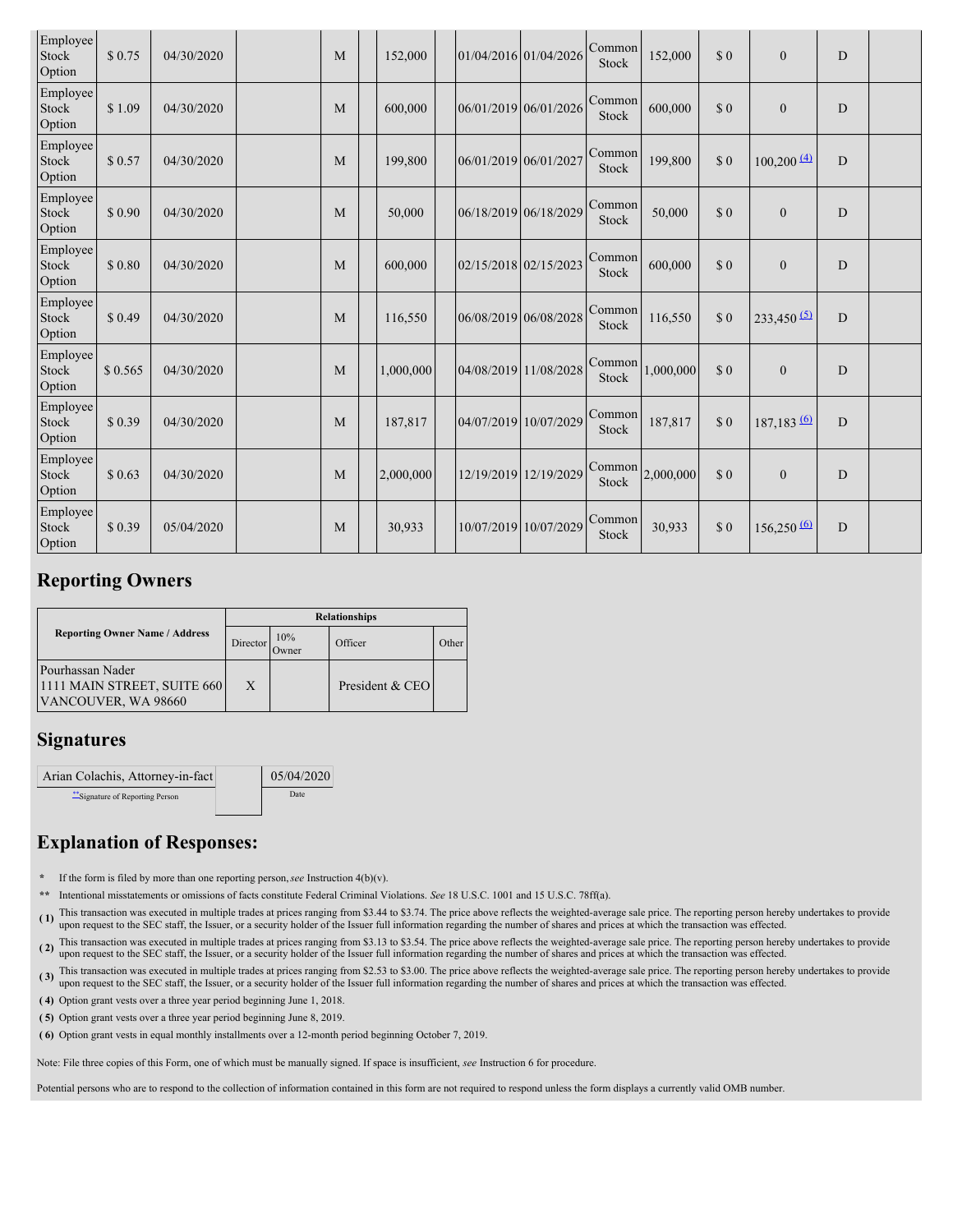| Employee<br>Stock<br>Option | \$0.75  | 04/30/2020 | M | 152,000   | 01/04/2016 01/04/2026 |                       | Common<br>Stock | 152,000   | \$0 | $\mathbf{0}$             | $\mathbf D$ |  |
|-----------------------------|---------|------------|---|-----------|-----------------------|-----------------------|-----------------|-----------|-----|--------------------------|-------------|--|
| Employee<br>Stock<br>Option | \$1.09  | 04/30/2020 | M | 600,000   | 06/01/2019 06/01/2026 |                       | Common<br>Stock | 600,000   | \$0 | $\overline{0}$           | D           |  |
| Employee<br>Stock<br>Option | \$0.57  | 04/30/2020 | M | 199,800   | 06/01/2019 06/01/2027 |                       | Common<br>Stock | 199,800   | \$0 | $100,200 \frac{(4)}{2}$  | D           |  |
| Employee<br>Stock<br>Option | \$0.90  | 04/30/2020 | M | 50,000    | 06/18/2019 06/18/2029 |                       | Common<br>Stock | 50,000    | \$0 | $\overline{0}$           | D           |  |
| Employee<br>Stock<br>Option | \$0.80  | 04/30/2020 | M | 600,000   | 02/15/2018 02/15/2023 |                       | Common<br>Stock | 600,000   | \$0 | $\mathbf{0}$             | D           |  |
| Employee<br>Stock<br>Option | \$0.49  | 04/30/2020 | M | 116,550   | 06/08/2019 06/08/2028 |                       | Common<br>Stock | 116,550   | \$0 | $233,450$ <sup>(5)</sup> | D           |  |
| Employee<br>Stock<br>Option | \$0.565 | 04/30/2020 | M | 1,000,000 | 04/08/2019 11/08/2028 |                       | Common<br>Stock | 1,000,000 | \$0 | $\theta$                 | D           |  |
| Employee<br>Stock<br>Option | \$0.39  | 04/30/2020 | M | 187,817   | 04/07/2019 10/07/2029 |                       | Common<br>Stock | 187,817   | \$0 | 187,183 (6)              | D           |  |
| Employee<br>Stock<br>Option | \$0.63  | 04/30/2020 | M | 2,000,000 |                       | 12/19/2019 12/19/2029 | Common<br>Stock | 2,000,000 | \$0 | $\mathbf{0}$             | D           |  |
| Employee<br>Stock<br>Option | \$0.39  | 05/04/2020 | M | 30,933    | 10/07/2019 10/07/2029 |                       | Common<br>Stock | 30,933    | \$0 | $156,250 \frac{(6)}{6}$  | D           |  |

## **Reporting Owners**

|                                                                        | <b>Relationships</b> |               |                 |       |  |  |  |  |  |  |
|------------------------------------------------------------------------|----------------------|---------------|-----------------|-------|--|--|--|--|--|--|
| <b>Reporting Owner Name / Address</b>                                  | Director             | 10%<br>Owner) | Officer         | )ther |  |  |  |  |  |  |
| Pourhassan Nader<br>1111 MAIN STREET, SUITE 660<br>VANCOUVER, WA 98660 | X                    |               | President & CEO |       |  |  |  |  |  |  |

# **Signatures**

| Arian Colachis, Attorney-in-fact | 05/04/2020 |
|----------------------------------|------------|
| ** Signature of Reporting Person | Date       |

# **Explanation of Responses:**

- **\*** If the form is filed by more than one reporting person,*see* Instruction 4(b)(v).
- **\*\*** Intentional misstatements or omissions of facts constitute Federal Criminal Violations. *See* 18 U.S.C. 1001 and 15 U.S.C. 78ff(a).
- (1) This transaction was executed in multiple trades at prices ranging from \$3.44 to \$3.74. The price above reflects the weighted-average sale price. The reporting person hereby undertakes to provide upon request to the SEC staff, the Issuer, or a security holder of the Issuer full information regarding the number of shares and prices at which the transaction was effected.
- (2) This transaction was executed in multiple trades at prices ranging from \$3.13 to \$3.54. The price above reflects the weighted-average sale price. The reporting person hereby undertakes to provide upon request to the SE
- (3) This transaction was executed in multiple trades at prices ranging from \$2.53 to \$3.00. The price above reflects the weighted-average sale price. The reporting person hereby undertakes to provide upon request to the SE
- **( 4)** Option grant vests over a three year period beginning June 1, 2018.
- **( 5)** Option grant vests over a three year period beginning June 8, 2019.
- **( 6)** Option grant vests in equal monthly installments over a 12-month period beginning October 7, 2019.

Note: File three copies of this Form, one of which must be manually signed. If space is insufficient, *see* Instruction 6 for procedure.

Potential persons who are to respond to the collection of information contained in this form are not required to respond unless the form displays a currently valid OMB number.